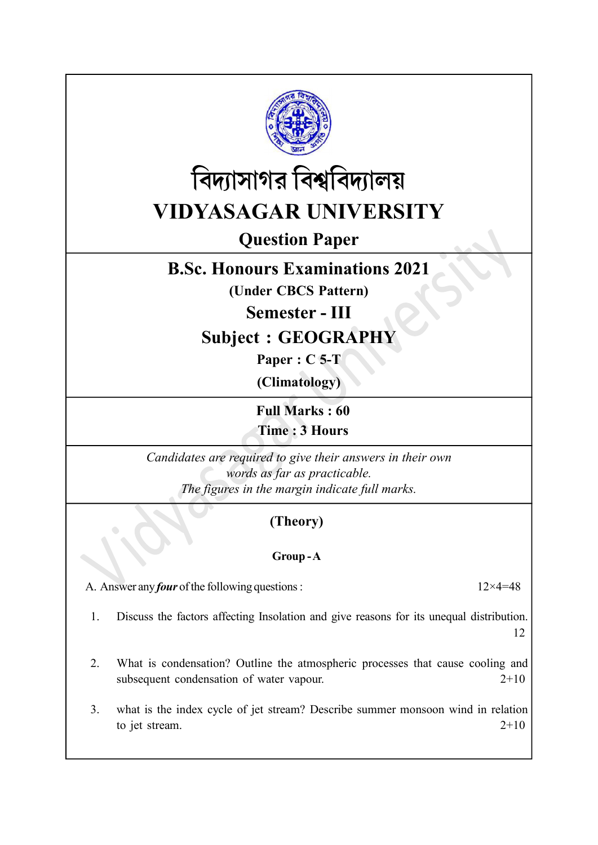



# Question Paper

### B.Sc. Honours Examinations 2021

(Under CBCS Pattern)

Semester - III

## Subject : GEOGRAPHY

Paper : C 5-T

(Climatology)

Full Marks : 60 Time : 3 Hours

Candidates are required to give their answers in their own words as far as practicable. The figures in the margin indicate full marks.

#### (Theory)

#### Group - A

A. Answer any *four* of the following questions :  $12 \times 4 = 48$ 

1. Discuss the factors affecting Insolation and give reasons for its unequal distribution. 12

- 2. What is condensation? Outline the atmospheric processes that cause cooling and subsequent condensation of water vapour. 2+10
- 3. what is the index cycle of jet stream? Describe summer monsoon wind in relation to jet stream.  $2+10$